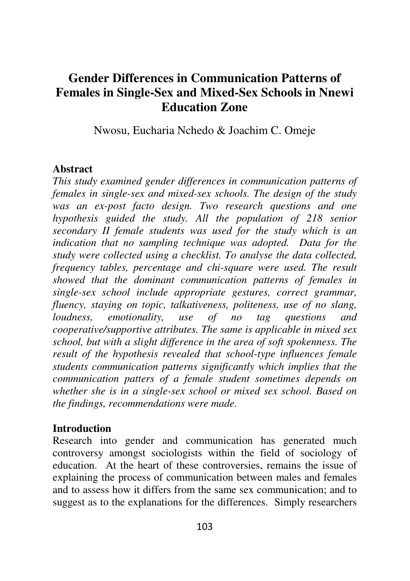# **Gender Differences in Communication Patterns of Females in Single-Sex and Mixed-Sex Schools in Nnewi Education Zone**

Nwosu, Eucharia Nchedo & Joachim C. Omeje

#### **Abstract**

*This study examined gender differences in communication patterns of females in single-sex and mixed-sex schools. The design of the study was an ex-post facto design. Two research questions and one hypothesis guided the study. All the population of 218 senior secondary II female students was used for the study which is an indication that no sampling technique was adopted. Data for the study were collected using a checklist. To analyse the data collected, frequency tables, percentage and chi-square were used. The result showed that the dominant communication patterns of females in single-sex school include appropriate gestures, correct grammar, fluency, staying on topic, talkativeness, politeness, use of no slang, loudness, emotionality, use of no tag questions and cooperative/supportive attributes. The same is applicable in mixed sex school, but with a slight difference in the area of soft spokenness. The result of the hypothesis revealed that school-type influences female students communication patterns significantly which implies that the communication patters of a female student sometimes depends on whether she is in a single-sex school or mixed sex school. Based on the findings, recommendations were made.* 

#### **Introduction**

Research into gender and communication has generated much controversy amongst sociologists within the field of sociology of education. At the heart of these controversies, remains the issue of explaining the process of communication between males and females and to assess how it differs from the same sex communication; and to suggest as to the explanations for the differences. Simply researchers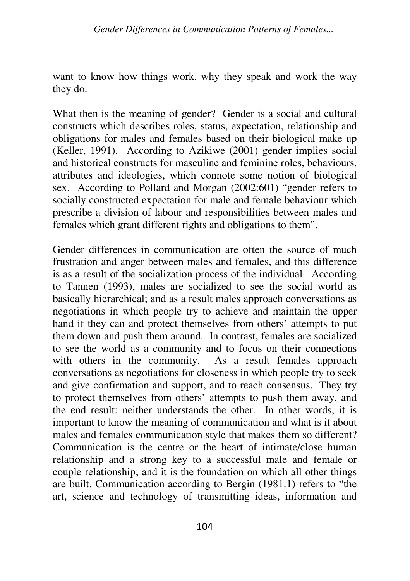want to know how things work, why they speak and work the way they do.

What then is the meaning of gender? Gender is a social and cultural constructs which describes roles, status, expectation, relationship and obligations for males and females based on their biological make up (Keller, 1991). According to Azikiwe (2001) gender implies social and historical constructs for masculine and feminine roles, behaviours, attributes and ideologies, which connote some notion of biological sex. According to Pollard and Morgan (2002:601) "gender refers to socially constructed expectation for male and female behaviour which prescribe a division of labour and responsibilities between males and females which grant different rights and obligations to them".

Gender differences in communication are often the source of much frustration and anger between males and females, and this difference is as a result of the socialization process of the individual. According to Tannen (1993), males are socialized to see the social world as basically hierarchical; and as a result males approach conversations as negotiations in which people try to achieve and maintain the upper hand if they can and protect themselves from others' attempts to put them down and push them around. In contrast, females are socialized to see the world as a community and to focus on their connections with others in the community. As a result females approach conversations as negotiations for closeness in which people try to seek and give confirmation and support, and to reach consensus. They try to protect themselves from others' attempts to push them away, and the end result: neither understands the other. In other words, it is important to know the meaning of communication and what is it about males and females communication style that makes them so different? Communication is the centre or the heart of intimate/close human relationship and a strong key to a successful male and female or couple relationship; and it is the foundation on which all other things are built. Communication according to Bergin (1981:1) refers to "the art, science and technology of transmitting ideas, information and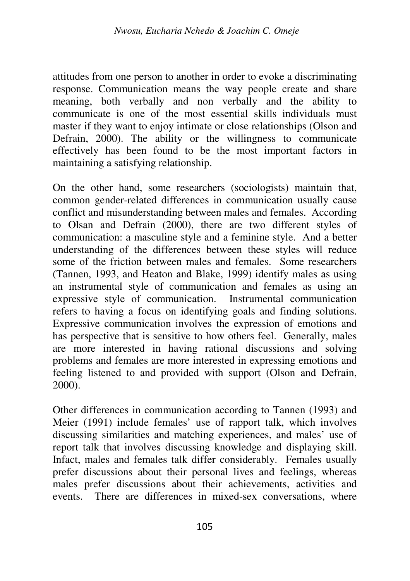attitudes from one person to another in order to evoke a discriminating response. Communication means the way people create and share meaning, both verbally and non verbally and the ability to communicate is one of the most essential skills individuals must master if they want to enjoy intimate or close relationships (Olson and Defrain, 2000). The ability or the willingness to communicate effectively has been found to be the most important factors in maintaining a satisfying relationship.

On the other hand, some researchers (sociologists) maintain that, common gender-related differences in communication usually cause conflict and misunderstanding between males and females. According to Olsan and Defrain (2000), there are two different styles of communication: a masculine style and a feminine style. And a better understanding of the differences between these styles will reduce some of the friction between males and females. Some researchers (Tannen, 1993, and Heaton and Blake, 1999) identify males as using an instrumental style of communication and females as using an expressive style of communication. Instrumental communication refers to having a focus on identifying goals and finding solutions. Expressive communication involves the expression of emotions and has perspective that is sensitive to how others feel. Generally, males are more interested in having rational discussions and solving problems and females are more interested in expressing emotions and feeling listened to and provided with support (Olson and Defrain, 2000).

Other differences in communication according to Tannen (1993) and Meier (1991) include females' use of rapport talk, which involves discussing similarities and matching experiences, and males' use of report talk that involves discussing knowledge and displaying skill. Infact, males and females talk differ considerably. Females usually prefer discussions about their personal lives and feelings, whereas males prefer discussions about their achievements, activities and events. There are differences in mixed-sex conversations, where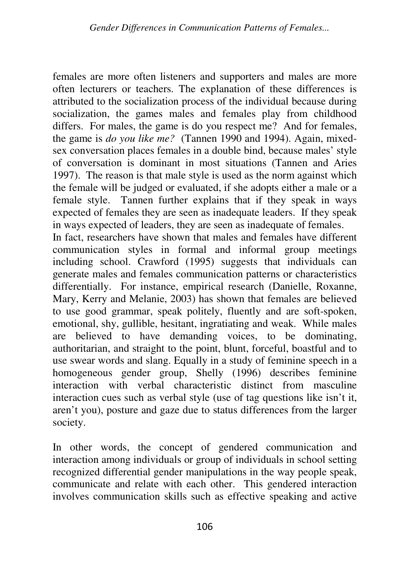females are more often listeners and supporters and males are more often lecturers or teachers. The explanation of these differences is attributed to the socialization process of the individual because during socialization, the games males and females play from childhood differs. For males, the game is do you respect me? And for females, the game is *do you like me?* (Tannen 1990 and 1994). Again, mixedsex conversation places females in a double bind, because males' style of conversation is dominant in most situations (Tannen and Aries 1997). The reason is that male style is used as the norm against which the female will be judged or evaluated, if she adopts either a male or a female style. Tannen further explains that if they speak in ways expected of females they are seen as inadequate leaders. If they speak in ways expected of leaders, they are seen as inadequate of females.

In fact, researchers have shown that males and females have different communication styles in formal and informal group meetings including school. Crawford (1995) suggests that individuals can generate males and females communication patterns or characteristics differentially. For instance, empirical research (Danielle, Roxanne, Mary, Kerry and Melanie, 2003) has shown that females are believed to use good grammar, speak politely, fluently and are soft-spoken, emotional, shy, gullible, hesitant, ingratiating and weak. While males are believed to have demanding voices, to be dominating, authoritarian, and straight to the point, blunt, forceful, boastful and to use swear words and slang. Equally in a study of feminine speech in a homogeneous gender group, Shelly (1996) describes feminine interaction with verbal characteristic distinct from masculine interaction cues such as verbal style (use of tag questions like isn't it, aren't you), posture and gaze due to status differences from the larger society.

In other words, the concept of gendered communication and interaction among individuals or group of individuals in school setting recognized differential gender manipulations in the way people speak, communicate and relate with each other. This gendered interaction involves communication skills such as effective speaking and active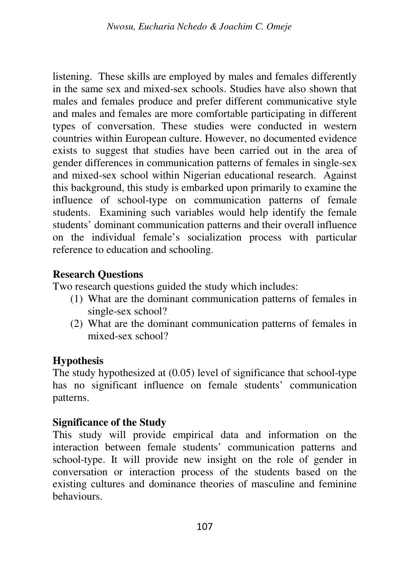listening. These skills are employed by males and females differently in the same sex and mixed-sex schools. Studies have also shown that males and females produce and prefer different communicative style and males and females are more comfortable participating in different types of conversation. These studies were conducted in western countries within European culture. However, no documented evidence exists to suggest that studies have been carried out in the area of gender differences in communication patterns of females in single-sex and mixed-sex school within Nigerian educational research. Against this background, this study is embarked upon primarily to examine the influence of school-type on communication patterns of female students. Examining such variables would help identify the female students' dominant communication patterns and their overall influence on the individual female's socialization process with particular reference to education and schooling.

### **Research Questions**

Two research questions guided the study which includes:

- (1) What are the dominant communication patterns of females in single-sex school?
- (2) What are the dominant communication patterns of females in mixed-sex school?

### **Hypothesis**

The study hypothesized at (0.05) level of significance that school-type has no significant influence on female students' communication patterns.

### **Significance of the Study**

This study will provide empirical data and information on the interaction between female students' communication patterns and school-type. It will provide new insight on the role of gender in conversation or interaction process of the students based on the existing cultures and dominance theories of masculine and feminine behaviours.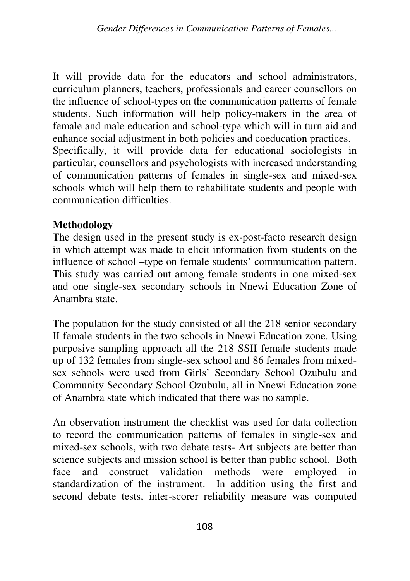It will provide data for the educators and school administrators, curriculum planners, teachers, professionals and career counsellors on the influence of school-types on the communication patterns of female students. Such information will help policy-makers in the area of female and male education and school-type which will in turn aid and enhance social adjustment in both policies and coeducation practices. Specifically, it will provide data for educational sociologists in particular, counsellors and psychologists with increased understanding of communication patterns of females in single-sex and mixed-sex schools which will help them to rehabilitate students and people with communication difficulties.

### **Methodology**

The design used in the present study is ex-post-facto research design in which attempt was made to elicit information from students on the influence of school –type on female students' communication pattern. This study was carried out among female students in one mixed-sex and one single-sex secondary schools in Nnewi Education Zone of Anambra state.

The population for the study consisted of all the 218 senior secondary II female students in the two schools in Nnewi Education zone. Using purposive sampling approach all the 218 SSII female students made up of 132 females from single-sex school and 86 females from mixedsex schools were used from Girls' Secondary School Ozubulu and Community Secondary School Ozubulu, all in Nnewi Education zone of Anambra state which indicated that there was no sample.

An observation instrument the checklist was used for data collection to record the communication patterns of females in single-sex and mixed-sex schools, with two debate tests- Art subjects are better than science subjects and mission school is better than public school. Both face and construct validation methods were employed in standardization of the instrument. In addition using the first and second debate tests, inter-scorer reliability measure was computed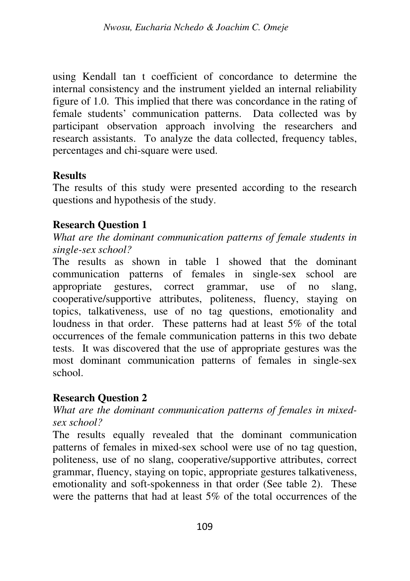using Kendall tan t coefficient of concordance to determine the internal consistency and the instrument yielded an internal reliability figure of 1.0. This implied that there was concordance in the rating of female students' communication patterns. Data collected was by participant observation approach involving the researchers and research assistants. To analyze the data collected, frequency tables, percentages and chi-square were used.

### **Results**

The results of this study were presented according to the research questions and hypothesis of the study.

## **Research Question 1**

*What are the dominant communication patterns of female students in single-sex school?* 

The results as shown in table 1 showed that the dominant communication patterns of females in single-sex school are appropriate gestures, correct grammar, use of no slang, cooperative/supportive attributes, politeness, fluency, staying on topics, talkativeness, use of no tag questions, emotionality and loudness in that order. These patterns had at least 5% of the total occurrences of the female communication patterns in this two debate tests. It was discovered that the use of appropriate gestures was the most dominant communication patterns of females in single-sex school.

## **Research Question 2**

### *What are the dominant communication patterns of females in mixedsex school?*

The results equally revealed that the dominant communication patterns of females in mixed-sex school were use of no tag question, politeness, use of no slang, cooperative/supportive attributes, correct grammar, fluency, staying on topic, appropriate gestures talkativeness, emotionality and soft-spokenness in that order (See table 2). These were the patterns that had at least 5% of the total occurrences of the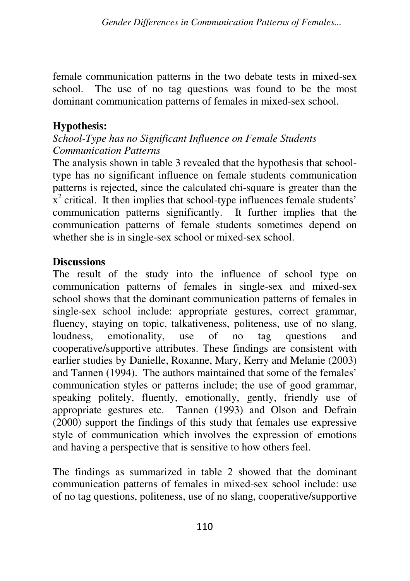female communication patterns in the two debate tests in mixed-sex school. The use of no tag questions was found to be the most dominant communication patterns of females in mixed-sex school.

## **Hypothesis:**

### *School-Type has no Significant Influence on Female Students Communication Patterns*

The analysis shown in table 3 revealed that the hypothesis that schooltype has no significant influence on female students communication patterns is rejected, since the calculated chi-square is greater than the  $\bar{x}^2$  critical. It then implies that school-type influences female students' communication patterns significantly. It further implies that the communication patterns of female students sometimes depend on whether she is in single-sex school or mixed-sex school.

### **Discussions**

The result of the study into the influence of school type on communication patterns of females in single-sex and mixed-sex school shows that the dominant communication patterns of females in single-sex school include: appropriate gestures, correct grammar, fluency, staying on topic, talkativeness, politeness, use of no slang, loudness, emotionality, use of no tag questions and cooperative/supportive attributes. These findings are consistent with earlier studies by Danielle, Roxanne, Mary, Kerry and Melanie (2003) and Tannen (1994). The authors maintained that some of the females' communication styles or patterns include; the use of good grammar, speaking politely, fluently, emotionally, gently, friendly use of appropriate gestures etc. Tannen (1993) and Olson and Defrain (2000) support the findings of this study that females use expressive style of communication which involves the expression of emotions and having a perspective that is sensitive to how others feel.

The findings as summarized in table 2 showed that the dominant communication patterns of females in mixed-sex school include: use of no tag questions, politeness, use of no slang, cooperative/supportive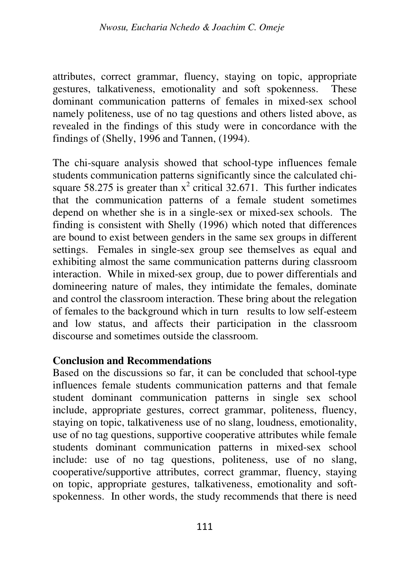attributes, correct grammar, fluency, staying on topic, appropriate gestures, talkativeness, emotionality and soft spokenness. These dominant communication patterns of females in mixed-sex school namely politeness, use of no tag questions and others listed above, as revealed in the findings of this study were in concordance with the findings of (Shelly, 1996 and Tannen, (1994).

The chi-square analysis showed that school-type influences female students communication patterns significantly since the calculated chisquare 58.275 is greater than  $x^2$  critical 32.671. This further indicates that the communication patterns of a female student sometimes depend on whether she is in a single-sex or mixed-sex schools. The finding is consistent with Shelly (1996) which noted that differences are bound to exist between genders in the same sex groups in different settings. Females in single-sex group see themselves as equal and exhibiting almost the same communication patterns during classroom interaction. While in mixed-sex group, due to power differentials and domineering nature of males, they intimidate the females, dominate and control the classroom interaction. These bring about the relegation of females to the background which in turn results to low self-esteem and low status, and affects their participation in the classroom discourse and sometimes outside the classroom.

### **Conclusion and Recommendations**

Based on the discussions so far, it can be concluded that school-type influences female students communication patterns and that female student dominant communication patterns in single sex school include, appropriate gestures, correct grammar, politeness, fluency, staying on topic, talkativeness use of no slang, loudness, emotionality, use of no tag questions, supportive cooperative attributes while female students dominant communication patterns in mixed-sex school include: use of no tag questions, politeness, use of no slang, cooperative/supportive attributes, correct grammar, fluency, staying on topic, appropriate gestures, talkativeness, emotionality and softspokenness. In other words, the study recommends that there is need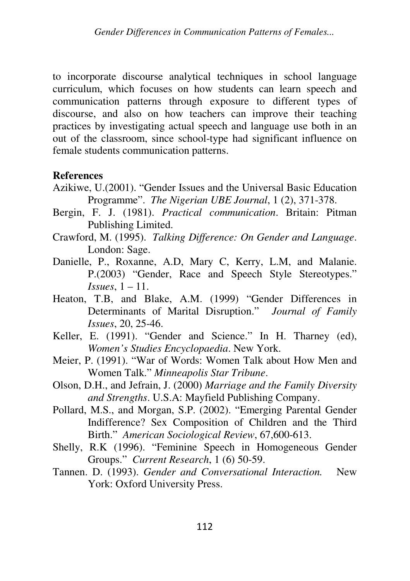to incorporate discourse analytical techniques in school language curriculum, which focuses on how students can learn speech and communication patterns through exposure to different types of discourse, and also on how teachers can improve their teaching practices by investigating actual speech and language use both in an out of the classroom, since school-type had significant influence on female students communication patterns.

#### **References**

- Azikiwe, U.(2001). "Gender Issues and the Universal Basic Education Programme". *The Nigerian UBE Journal*, 1 (2), 371-378.
- Bergin, F. J. (1981). *Practical communication*. Britain: Pitman Publishing Limited.
- Crawford, M. (1995). *Talking Difference: On Gender and Language*. London: Sage.
- Danielle, P., Roxanne, A.D, Mary C, Kerry, L.M, and Malanie. P.(2003) "Gender, Race and Speech Style Stereotypes." *Issues*, 1 – 11.
- Heaton, T.B, and Blake, A.M. (1999) "Gender Differences in Determinants of Marital Disruption." *Journal of Family Issues*, 20, 25-46.
- Keller, E. (1991). "Gender and Science." In H. Tharney (ed), *Women's Studies Encyclopaedia*. New York.
- Meier, P. (1991). "War of Words: Women Talk about How Men and Women Talk." *Minneapolis Star Tribune*.
- Olson, D.H., and Jefrain, J. (2000) *Marriage and the Family Diversity and Strengths*. U.S.A: Mayfield Publishing Company.
- Pollard, M.S., and Morgan, S.P. (2002). "Emerging Parental Gender Indifference? Sex Composition of Children and the Third Birth." *American Sociological Review*, 67,600-613.
- Shelly, R.K (1996). "Feminine Speech in Homogeneous Gender Groups." *Current Research*, 1 (6) 50-59.
- Tannen. D. (1993). *Gender and Conversational Interaction.* New York: Oxford University Press.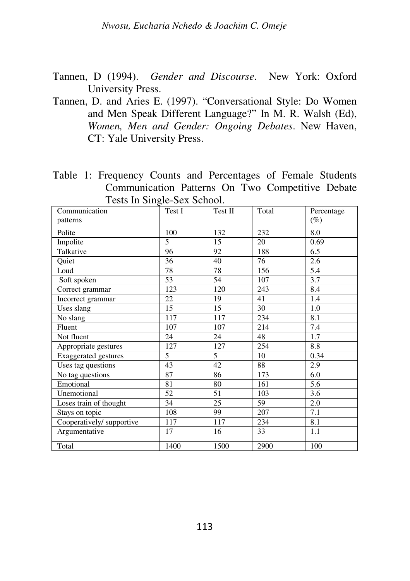Tannen, D (1994). *Gender and Discourse*. New York: Oxford University Press.

Tannen, D. and Aries E. (1997). "Conversational Style: Do Women and Men Speak Different Language?" In M. R. Walsh (Ed), *Women, Men and Gender: Ongoing Debates*. New Haven, CT: Yale University Press.

Table 1: Frequency Counts and Percentages of Female Students Communication Patterns On Two Competitive Debate Tests In Single-Sex School.

| Communication<br>patterns | o<br>Test I | Test II | Total | Percentage<br>$(\%)$ |
|---------------------------|-------------|---------|-------|----------------------|
|                           |             |         |       |                      |
| Polite                    | 100         | 132     | 232   | 8.0                  |
| Impolite                  | 5           | 15      | 20    | 0.69                 |
| Talkative                 | 96          | 92      | 188   | 6.5                  |
| Quiet                     | 36          | 40      | 76    | 2.6                  |
| Loud                      | 78          | 78      | 156   | 5.4                  |
| Soft spoken               | 53          | 54      | 107   | 3.7                  |
| Correct grammar           | 123         | 120     | 243   | 8.4                  |
| Incorrect grammar         | 22          | 19      | 41    | 1.4                  |
| Uses slang                | 15          | 15      | 30    | 1.0                  |
| No slang                  | 117         | 117     | 234   | 8.1                  |
| Fluent                    | 107         | 107     | 214   | 7.4                  |
| Not fluent                | 24          | 24      | 48    | 1.7                  |
| Appropriate gestures      | 127         | 127     | 254   | 8.8                  |
| Exaggerated gestures      | 5           | 5       | 10    | 0.34                 |
| Uses tag questions        | 43          | 42      | 88    | 2.9                  |
| No tag questions          | 87          | 86      | 173   | 6.0                  |
| Emotional                 | 81          | 80      | 161   | 5.6                  |
| Unemotional               | 52          | 51      | 103   | 3.6                  |
| Loses train of thought    | 34          | 25      | 59    | 2.0                  |
| Stays on topic            | 108         | 99      | 207   | 7.1                  |
| Cooperatively/supportive  | 117         | 117     | 234   | 8.1                  |
| Argumentative             | 17          | 16      | 33    | 1.1                  |
| Total                     | 1400        | 1500    | 2900  | 100                  |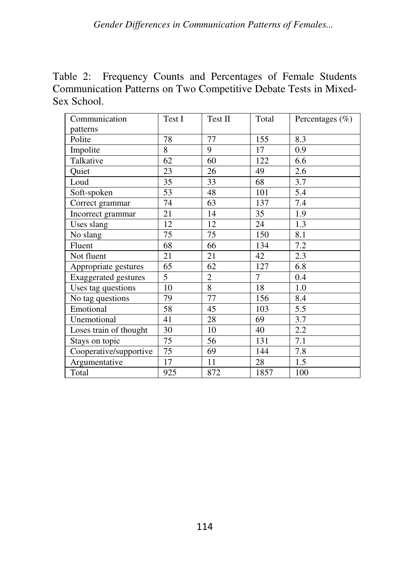Table 2: Frequency Counts and Percentages of Female Students Communication Patterns on Two Competitive Debate Tests in Mixed-Sex School.

| Communication               | Test I | Test II        | Total | Percentages $(\% )$ |
|-----------------------------|--------|----------------|-------|---------------------|
| patterns                    |        |                |       |                     |
| Polite                      | 78     | 77             | 155   | 8.3                 |
| Impolite                    | 8      | 9              | 17    | 0.9                 |
| Talkative                   | 62     | 60             | 122   | 6.6                 |
| Quiet                       | 23     | 26             | 49    | 2.6                 |
| Loud                        | 35     | 33             | 68    | 3.7                 |
| Soft-spoken                 | 53     | 48             | 101   | 5.4                 |
| Correct grammar             | 74     | 63             | 137   | 7.4                 |
| Incorrect grammar           | 21     | 14             | 35    | 1.9                 |
| Uses slang                  | 12     | 12             | 24    | 1.3                 |
| No slang                    | 75     | 75             | 150   | 8.1                 |
| Fluent                      | 68     | 66             | 134   | 7.2                 |
| Not fluent                  | 21     | 21             | 42    | 2.3                 |
| Appropriate gestures        | 65     | 62             | 127   | 6.8                 |
| <b>Exaggerated gestures</b> | 5      | $\overline{2}$ | 7     | 0.4                 |
| Uses tag questions          | 10     | 8              | 18    | 1.0                 |
| No tag questions            | 79     | 77             | 156   | 8.4                 |
| Emotional                   | 58     | 45             | 103   | 5.5                 |
| Unemotional                 | 41     | 28             | 69    | 3.7                 |
| Loses train of thought      | 30     | 10             | 40    | 2.2                 |
| Stays on topic              | 75     | 56             | 131   | 7.1                 |
| Cooperative/supportive      | 75     | 69             | 144   | 7.8                 |
| Argumentative               | 17     | 11             | 28    | 1.5                 |
| Total                       | 925    | 872            | 1857  | 100                 |